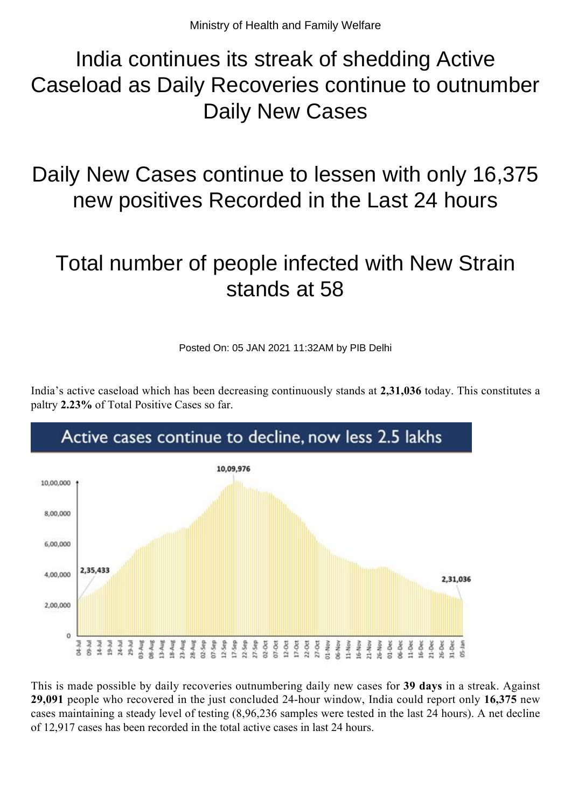## India continues its streak of shedding Active Caseload as Daily Recoveries continue to outnumber Daily New Cases

Daily New Cases continue to lessen with only 16,375 new positives Recorded in the Last 24 hours

## Total number of people infected with New Strain stands at 58

Posted On: 05 JAN 2021 11:32AM by PIB Delhi

India's active caseload which has been decreasing continuously stands at **2,31,036** today. This constitutes a paltry **2.23%** of Total Positive Cases so far.



This is made possible by daily recoveries outnumbering daily new cases for **39 days** in a streak. Against **29,091** people who recovered in the just concluded 24-hour window, India could report only **16,375** new cases maintaining a steady level of testing (8,96,236 samples were tested in the last 24 hours). A net decline of 12,917 cases has been recorded in the total active cases in last 24 hours.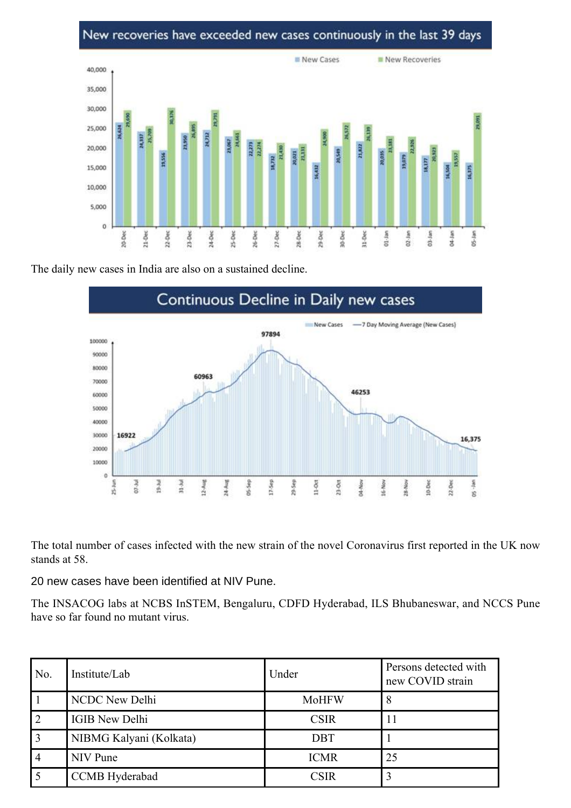## New recoveries have exceeded new cases continuously in the last 39 days



The daily new cases in India are also on a sustained decline.



The total number of cases infected with the new strain of the novel Coronavirus first reported in the UK now stands at 58.

20 new cases have been identified at NIV Pune.

The INSACOG labs at NCBS InSTEM, Bengaluru, CDFD Hyderabad, ILS Bhubaneswar, and NCCS Pune have so far found no mutant virus.

| No. | Institute/Lab           | Under        | Persons detected with<br>new COVID strain |
|-----|-------------------------|--------------|-------------------------------------------|
|     | NCDC New Delhi          | <b>MoHFW</b> | 8                                         |
|     | <b>IGIB New Delhi</b>   | <b>CSIR</b>  |                                           |
|     | NIBMG Kalyani (Kolkata) | <b>DBT</b>   |                                           |
|     | NIV Pune                | <b>ICMR</b>  | 25                                        |
|     | CCMB Hyderabad          | <b>CSIR</b>  |                                           |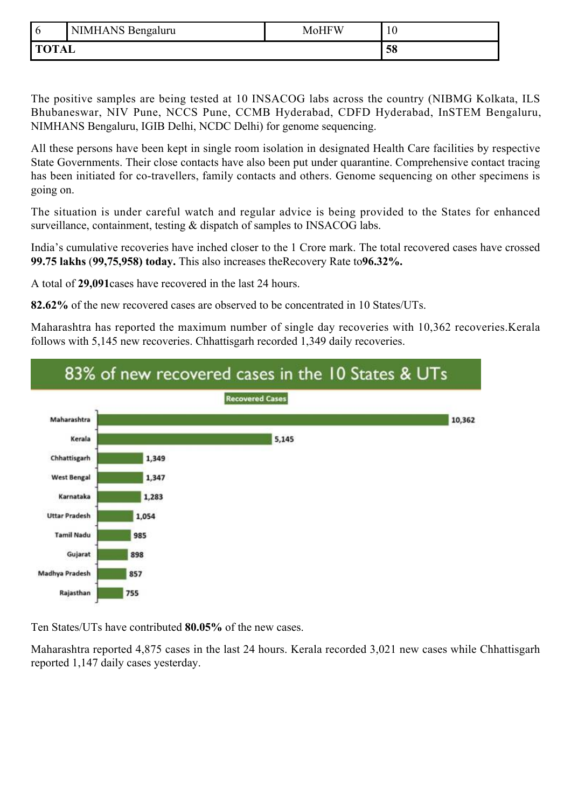| l 6          | NIMHANS Bengaluru | <b>MoHFW</b> | 10 |
|--------------|-------------------|--------------|----|
| <b>TOTAL</b> |                   |              | 58 |

The positive samples are being tested at 10 INSACOG labs across the country (NIBMG Kolkata, ILS Bhubaneswar, NIV Pune, NCCS Pune, CCMB Hyderabad, CDFD Hyderabad, InSTEM Bengaluru, NIMHANS Bengaluru, IGIB Delhi, NCDC Delhi) for genome sequencing.

All these persons have been kept in single room isolation in designated Health Care facilities by respective State Governments. Their close contacts have also been put under quarantine. Comprehensive contact tracing has been initiated for co-travellers, family contacts and others. Genome sequencing on other specimens is going on.

The situation is under careful watch and regular advice is being provided to the States for enhanced surveillance, containment, testing & dispatch of samples to INSACOG labs.

India's cumulative recoveries have inched closer to the 1 Crore mark. The total recovered cases have crossed **99.75 lakhs** (**99,75,958) today.** This also increases theRecovery Rate to**96.32%.**

A total of **29,091**cases have recovered in the last 24 hours.

**82.62%** of the new recovered cases are observed to be concentrated in 10 States/UTs.

Maharashtra has reported the maximum number of single day recoveries with 10,362 recoveries.Kerala follows with 5,145 new recoveries. Chhattisgarh recorded 1,349 daily recoveries.



Ten States/UTs have contributed **80.05%** of the new cases.

Maharashtra reported 4,875 cases in the last 24 hours. Kerala recorded 3,021 new cases while Chhattisgarh reported 1,147 daily cases yesterday.